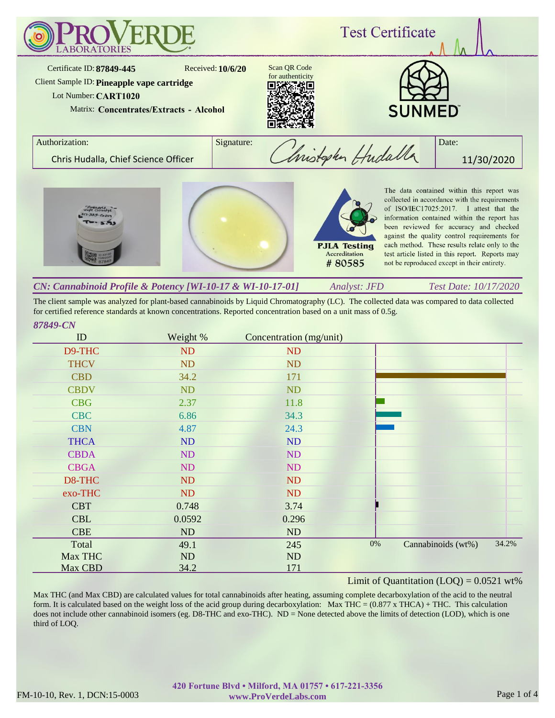

The client sample was analyzed for plant-based cannabinoids by Liquid Chromatography (LC). The collected data was compared to data collected for certified reference standards at known concentrations. Reported concentration based on a unit mass of 0.5g.

# *87849-CN*

| ID          | Weight %  | Concentration (mg/unit) |       |                    |       |
|-------------|-----------|-------------------------|-------|--------------------|-------|
| D9-THC      | ND        | ND                      |       |                    |       |
| <b>THCV</b> | <b>ND</b> | <b>ND</b>               |       |                    |       |
| <b>CBD</b>  | 34.2      | 171                     |       |                    |       |
| <b>CBDV</b> | <b>ND</b> | <b>ND</b>               |       |                    |       |
| <b>CBG</b>  | 2.37      | 11.8                    |       |                    |       |
| <b>CBC</b>  | 6.86      | 34.3                    |       |                    |       |
| <b>CBN</b>  | 4.87      | 24.3                    |       |                    |       |
| <b>THCA</b> | <b>ND</b> | ND                      |       |                    |       |
| <b>CBDA</b> | <b>ND</b> | <b>ND</b>               |       |                    |       |
| <b>CBGA</b> | ND        | ND                      |       |                    |       |
| D8-THC      | ND        | ND                      |       |                    |       |
| exo-THC     | <b>ND</b> | <b>ND</b>               |       |                    |       |
| <b>CBT</b>  | 0.748     | 3.74                    |       |                    |       |
| <b>CBL</b>  | 0.0592    | 0.296                   |       |                    |       |
| <b>CBE</b>  | ND        | ND                      |       |                    |       |
| Total       | 49.1      | 245                     | $0\%$ | Cannabinoids (wt%) | 34.2% |
| Max THC     | ND        | <b>ND</b>               |       |                    |       |
| Max CBD     | 34.2      | 171                     |       |                    |       |

#### Limit of Quantitation  $(LOQ) = 0.0521$  wt%

Max THC (and Max CBD) are calculated values for total cannabinoids after heating, assuming complete decarboxylation of the acid to the neutral form. It is calculated based on the weight loss of the acid group during decarboxylation: Max THC =  $(0.877 \times THCA) + THC$ . This calculation does not include other cannabinoid isomers (eg. D8-THC and exo-THC). ND = None detected above the limits of detection (LOD), which is one third of LOQ.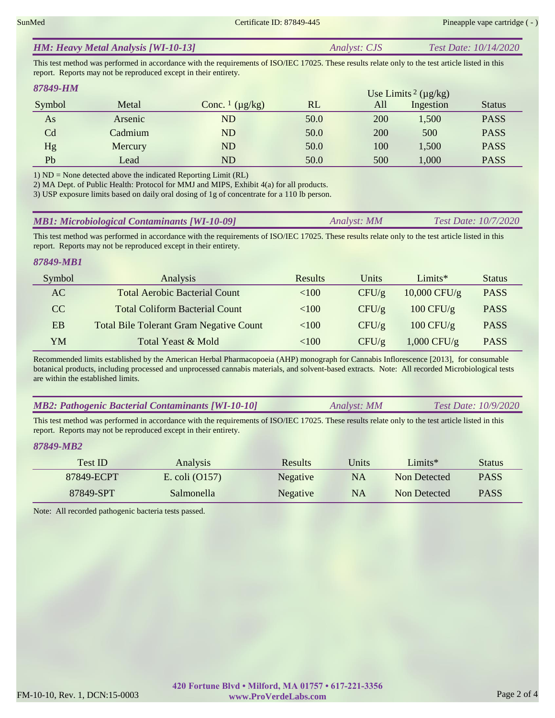This test method was performed in accordance with the requirements of ISO/IEC 17025. These results relate only to the test article listed in this report. Reports may not be reproduced except in their entirety.

| 87849-HM       |         |                                     |      |     | Use Limits <sup>2</sup> ( $\mu$ g/kg) |               |
|----------------|---------|-------------------------------------|------|-----|---------------------------------------|---------------|
| Symbol         | Metal   | Conc. $\frac{1}{\mu}$ ( $\mu$ g/kg) | RL   | All | Ingestion                             | <b>Status</b> |
| As             | Arsenic | ND                                  | 50.0 | 200 | 1,500                                 | <b>PASS</b>   |
| C <sub>d</sub> | Cadmium | ND                                  | 50.0 | 200 | 500                                   | <b>PASS</b>   |
| Hg             | Mercury | ND                                  | 50.0 | 100 | 1,500                                 | <b>PASS</b>   |
| Pb             | Lead    | ND                                  | 50.0 | 500 | 1,000                                 | <b>PASS</b>   |

1) ND = None detected above the indicated Reporting Limit (RL)

2) MA Dept. of Public Health: Protocol for MMJ and MIPS, Exhibit 4(a) for all products.

3) USP exposure limits based on daily oral dosing of 1g of concentrate for a 110 lb person.

| <b>MB1: Microbiological Contaminants [WI-10-09]</b><br><b>Test Date: 10/7/2020</b><br>Analyst: MM |
|---------------------------------------------------------------------------------------------------|
|---------------------------------------------------------------------------------------------------|

This test method was performed in accordance with the requirements of ISO/IEC 17025. These results relate only to the test article listed in this report. Reports may not be reproduced except in their entirety.

## *87849-MB1*

| Symbol | <b>Analysis</b>                                | <b>Results</b> | Units | Limits $*$     | <b>Status</b> |
|--------|------------------------------------------------|----------------|-------|----------------|---------------|
| AC     | <b>Total Aerobic Bacterial Count</b>           | <100           | CFU/g | $10,000$ CFU/g | <b>PASS</b>   |
| CC.    | <b>Total Coliform Bacterial Count</b>          | < 100          | CFU/g | $100$ CFU/g    | <b>PASS</b>   |
| EB     | <b>Total Bile Tolerant Gram Negative Count</b> | < 100          | CFU/g | $100$ CFU/g    | <b>PASS</b>   |
| YM     | Total Yeast & Mold                             | ${<}100$       | CFU/g | $1,000$ CFU/g  | <b>PASS</b>   |

Recommended limits established by the American Herbal Pharmacopoeia (AHP) monograph for Cannabis Inflorescence [2013], for consumable botanical products, including processed and unprocessed cannabis materials, and solvent-based extracts. Note: All recorded Microbiological tests are within the established limits.

| <b>MB2: Pathogenic Bacterial Contaminants [WI-10-10]</b> | Analyst: MM | <i>Test Date: 10/9/2020</i> |
|----------------------------------------------------------|-------------|-----------------------------|
|----------------------------------------------------------|-------------|-----------------------------|

This test method was performed in accordance with the requirements of ISO/IEC 17025. These results relate only to the test article listed in this report. Reports may not be reproduced except in their entirety.

### *87849-MB2*

| Test ID    | <b>Analysis</b>  | Results  | Jnits | $Limits*$    | <b>Status</b> |
|------------|------------------|----------|-------|--------------|---------------|
| 87849-ECPT | E. coli $(0157)$ | Negative | NA    | Non Detected | <b>PASS</b>   |
| 87849-SPT  | Salmonella       | Negative | NA    | Non Detected | <b>PASS</b>   |

Note: All recorded pathogenic bacteria tests passed.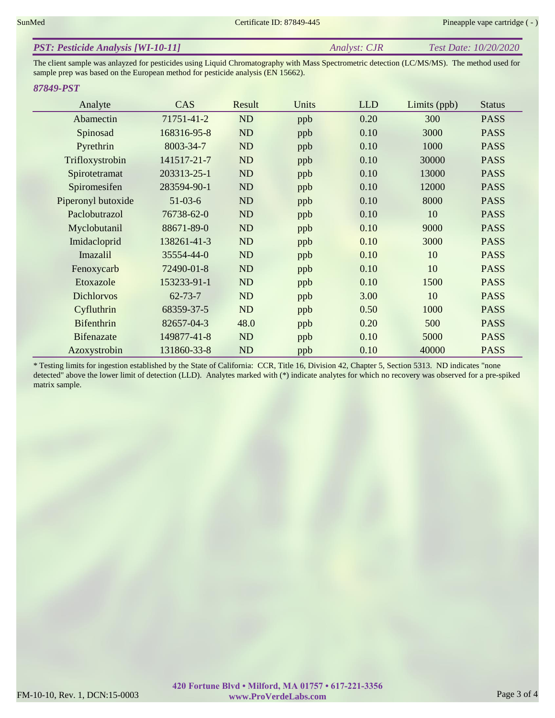| <b>PST: Pesticide Analysis [WI-10-11]</b> | Analyst: CJR | Test Date: 10/20/2020 |
|-------------------------------------------|--------------|-----------------------|
|-------------------------------------------|--------------|-----------------------|

The client sample was anlayzed for pesticides using Liquid Chromatography with Mass Spectrometric detection (LC/MS/MS). The method used for sample prep was based on the European method for pesticide analysis (EN 15662).

#### *87849-PST*

| Analyte            | CAS           | Result    | Units | <b>LLD</b> | Limits (ppb) | <b>Status</b> |
|--------------------|---------------|-----------|-------|------------|--------------|---------------|
| Abamectin          | 71751-41-2    | ND        | ppb   | 0.20       | 300          | <b>PASS</b>   |
| Spinosad           | 168316-95-8   | <b>ND</b> | ppb   | 0.10       | 3000         | <b>PASS</b>   |
| Pyrethrin          | 8003-34-7     | <b>ND</b> | ppb   | 0.10       | 1000         | <b>PASS</b>   |
| Trifloxystrobin    | 141517-21-7   | ND        | ppb   | 0.10       | 30000        | <b>PASS</b>   |
| Spirotetramat      | 203313-25-1   | ND        | ppb   | 0.10       | 13000        | <b>PASS</b>   |
| Spiromesifen       | 283594-90-1   | <b>ND</b> | ppb   | 0.10       | 12000        | <b>PASS</b>   |
| Piperonyl butoxide | $51-03-6$     | ND        | ppb   | 0.10       | 8000         | <b>PASS</b>   |
| Paclobutrazol      | 76738-62-0    | ND        | ppb   | 0.10       | 10           | <b>PASS</b>   |
| Myclobutanil       | 88671-89-0    | <b>ND</b> | ppb   | 0.10       | 9000         | <b>PASS</b>   |
| Imidacloprid       | 138261-41-3   | ND        | ppb   | 0.10       | 3000         | <b>PASS</b>   |
| Imazalil           | 35554-44-0    | ND        | ppb   | 0.10       | 10           | <b>PASS</b>   |
| Fenoxycarb         | 72490-01-8    | ND        | ppb   | 0.10       | 10           | <b>PASS</b>   |
| Etoxazole          | 153233-91-1   | ND        | ppb   | 0.10       | 1500         | <b>PASS</b>   |
| <b>Dichlorvos</b>  | $62 - 73 - 7$ | ND        | ppb   | 3.00       | 10           | <b>PASS</b>   |
| Cyfluthrin         | 68359-37-5    | ND        | ppb   | 0.50       | 1000         | <b>PASS</b>   |
| <b>Bifenthrin</b>  | 82657-04-3    | 48.0      | ppb   | 0.20       | 500          | <b>PASS</b>   |
| <b>Bifenazate</b>  | 149877-41-8   | ND        | ppb   | 0.10       | 5000         | <b>PASS</b>   |
| Azoxystrobin       | 131860-33-8   | <b>ND</b> | ppb   | 0.10       | 40000        | <b>PASS</b>   |

\* Testing limits for ingestion established by the State of California: CCR, Title 16, Division 42, Chapter 5, Section 5313. ND indicates "none detected" above the lower limit of detection (LLD). Analytes marked with (\*) indicate analytes for which no recovery was observed for a pre-spiked matrix sample.